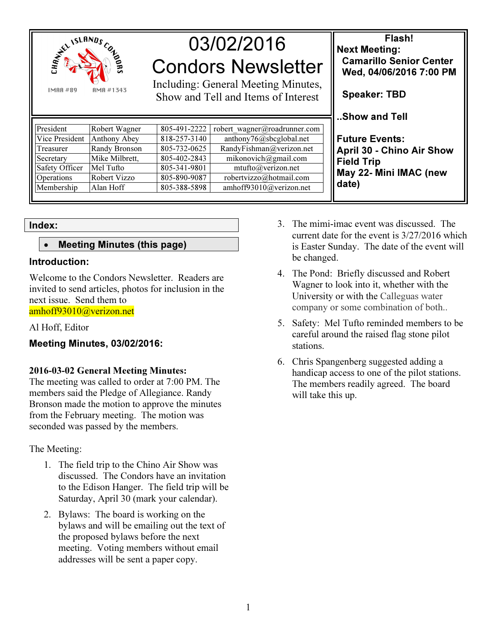

# 03/02/2016 Condors Newsletter

Including: General Meeting Minutes, Show and Tell and Items of Interest

| Robert Wagner  | 805-491-2222 | robert wagner@roadrunner.com |
|----------------|--------------|------------------------------|
| Anthony Abey   | 818-257-3140 | anthony76@sbcglobal.net      |
| Randy Bronson  | 805-732-0625 | RandyFishman@verizon.net     |
| Mike Milbrett, | 805-402-2843 | mikonovich@gmail.com         |
| Mel Tufto      | 805-341-9801 | mtufto@verizon.net           |
| Robert Vizzo   | 805-890-9087 | robertvizzo@hotmail.com      |
| Alan Hoff      | 805-388-5898 | amhoff93010@verizon.net      |
|                |              |                              |

Index:

### • Meeting Minutes (this page)

#### Introduction:

Welcome to the Condors Newsletter. Readers are invited to send articles, photos for inclusion in the next issue. Send them to amhoff93010@verizon.net

#### Al Hoff, Editor

#### Meeting Minutes, 03/02/2016:

#### 2016-03-02 General Meeting Minutes:

The meeting was called to order at 7:00 PM. The members said the Pledge of Allegiance. Randy Bronson made the motion to approve the minutes from the February meeting. The motion was seconded was passed by the members.

The Meeting:

- 1. The field trip to the Chino Air Show was discussed. The Condors have an invitation to the Edison Hanger. The field trip will be Saturday, April 30 (mark your calendar).
- 2. Bylaws: The board is working on the bylaws and will be emailing out the text of the proposed bylaws before the next meeting. Voting members without email addresses will be sent a paper copy.
- 3. The mimi-imac event was discussed. The current date for the event is 3/27/2016 which is Easter Sunday. The date of the event will be changed.
- 4. The Pond: Briefly discussed and Robert Wagner to look into it, whether with the University or with the Calleguas water company or some combination of both..
- 5. Safety: Mel Tufto reminded members to be careful around the raised flag stone pilot stations.
- 6. Chris Spangenberg suggested adding a handicap access to one of the pilot stations. The members readily agreed. The board will take this up.

Flash! Next Meeting: Camarillo Senior Center Wed, 04/06/2016 7:00 PM

Speaker: TBD

..Show and Tell

Future Events: April 30 - Chino Air Show Field Trip May 22- Mini IMAC (new date)